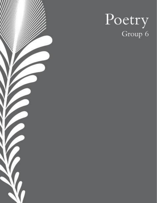

# Poetry<br>Group 6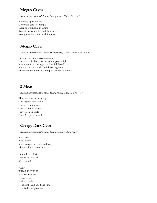### Mogao Caves

Korean International School Springboard, Chen,  $Ue - 13$ 

Reaching up to the sky Opening a gate to a temple Close to Dunhuang in China Kenneth worships the Buddha in a cave Young men like him are all impressed

### Mogao Caves

Korean International School Springboard, Choi, Mattea Abbey  $-13$ 

Caves of the holy carved mountains. History says it shone because of the golden light. Ideas came from the legend of the Silk Road. Nothing but sand rocks and the strong wind. The name of Dunhuang's temple is Mogao Grottoes.

## 3 Mice

Korean International School Springboard, Chu, Ka Lok  $-11$ 

Three mice went in a temple. One stepped on a staple; One went in the cave; One was not so brave. I gave each an apple Oh no! It got trampled!

## Creepy Dark Cave

Korean International School Springboard, Robin, Asher  $-9$ 

It was cold. It was damp. It was creepy and chilly and scary. There is the Mogao Cave.

I stumble and I trip. I tiptoe and I reach. It's so quiet!

"Eek!" WHAT IS THAT? Here is a Buddha. He is a stone. He has a smile. He is gentle and good and kind. Here is the Mogao Cave.